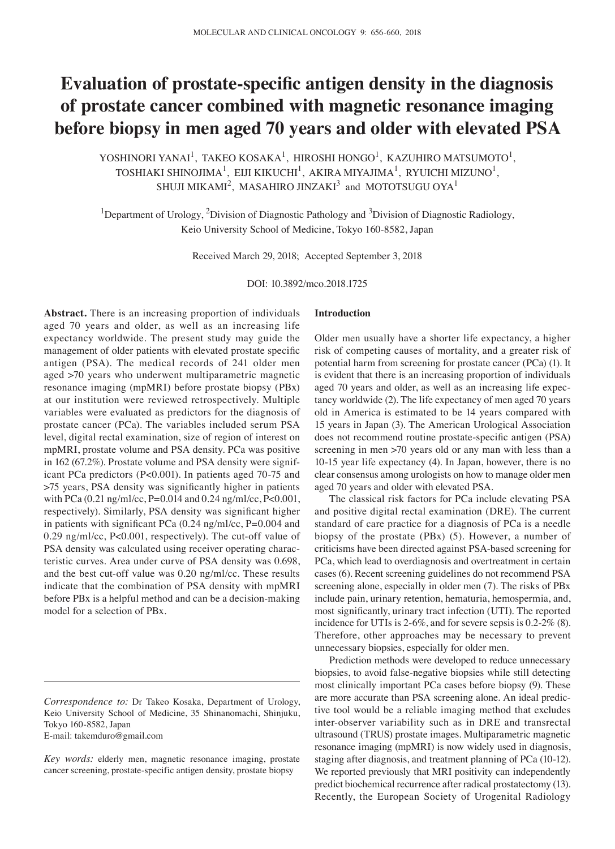# **Evaluation of prostate‑specific antigen density in the diagnosis of prostate cancer combined with magnetic resonance imaging before biopsy in men aged 70 years and older with elevated PSA**

YOSHINORI YANAI<sup>1</sup>, TAKEO KOSAKA<sup>1</sup>, HIROSHI HONGO<sup>1</sup>, KAZUHIRO MATSUMOTO<sup>1</sup>, TOSHIAKI SHINOJIMA<sup>1</sup>, EIJI KIKUCHI<sup>1</sup>, AKIRA MIYAJIMA<sup>1</sup>, RYUICHI MIZUNO<sup>1</sup>, SHUJI MIKAMI $^2$ , MASAHIRO JINZAKI $^3$  and MOTOTSUGU OYA<sup>1</sup>

<sup>1</sup>Department of Urology, <sup>2</sup>Division of Diagnostic Pathology and <sup>3</sup>Division of Diagnostic Radiology, Keio University School of Medicine, Tokyo 160-8582, Japan

Received March 29, 2018; Accepted September 3, 2018

DOI: 10.3892/mco.2018.1725

**Abstract.** There is an increasing proportion of individuals aged 70 years and older, as well as an increasing life expectancy worldwide. The present study may guide the management of older patients with elevated prostate specific antigen (PSA). The medical records of 241 older men aged >70 years who underwent multiparametric magnetic resonance imaging (mpMRI) before prostate biopsy (PBx) at our institution were reviewed retrospectively. Multiple variables were evaluated as predictors for the diagnosis of prostate cancer (PCa). The variables included serum PSA level, digital rectal examination, size of region of interest on mpMRI, prostate volume and PSA density. PCa was positive in 162 (67.2%). Prostate volume and PSA density were significant PCa predictors (P<0.001). In patients aged 70-75 and >75 years, PSA density was significantly higher in patients with PCa (0.21 ng/ml/cc, P=0.014 and 0.24 ng/ml/cc, P<0.001, respectively). Similarly, PSA density was significant higher in patients with significant PCa (0.24 ng/ml/cc, P=0.004 and 0.29 ng/ml/cc, P<0.001, respectively). The cut-off value of PSA density was calculated using receiver operating characteristic curves. Area under curve of PSA density was 0.698, and the best cut-off value was 0.20 ng/ml/cc. These results indicate that the combination of PSA density with mpMRI before PBx is a helpful method and can be a decision-making model for a selection of PBx.

E-mail: takemduro@gmail.com

#### **Introduction**

Older men usually have a shorter life expectancy, a higher risk of competing causes of mortality, and a greater risk of potential harm from screening for prostate cancer (PCa) (1). It is evident that there is an increasing proportion of individuals aged 70 years and older, as well as an increasing life expectancy worldwide (2). The life expectancy of men aged 70 years old in America is estimated to be 14 years compared with 15 years in Japan (3). The American Urological Association does not recommend routine prostate‑specific antigen (PSA) screening in men >70 years old or any man with less than a 10-15 year life expectancy (4). In Japan, however, there is no clear consensus among urologists on how to manage older men aged 70 years and older with elevated PSA.

The classical risk factors for PCa include elevating PSA and positive digital rectal examination (DRE). The current standard of care practice for a diagnosis of PCa is a needle biopsy of the prostate (PBx) (5). However, a number of criticisms have been directed against PSA-based screening for PCa, which lead to overdiagnosis and overtreatment in certain cases (6). Recent screening guidelines do not recommend PSA screening alone, especially in older men (7). The risks of PBx include pain, urinary retention, hematuria, hemospermia, and, most significantly, urinary tract infection (UTI). The reported incidence for UTIs is 2-6%, and for severe sepsis is 0.2-2% (8). Therefore, other approaches may be necessary to prevent unnecessary biopsies, especially for older men.

Prediction methods were developed to reduce unnecessary biopsies, to avoid false-negative biopsies while still detecting most clinically important PCa cases before biopsy (9). These are more accurate than PSA screening alone. An ideal predictive tool would be a reliable imaging method that excludes inter-observer variability such as in DRE and transrectal ultrasound (TRUS) prostate images. Multiparametric magnetic resonance imaging (mpMRI) is now widely used in diagnosis, staging after diagnosis, and treatment planning of PCa (10-12). We reported previously that MRI positivity can independently predict biochemical recurrence after radical prostatectomy (13). Recently, the European Society of Urogenital Radiology

*Correspondence to:* Dr Takeo Kosaka, Department of Urology, Keio University School of Medicine, 35 Shinanomachi, Shinjuku, Tokyo 160-8582, Japan

*Key words:* elderly men, magnetic resonance imaging, prostate cancer screening, prostate-specific antigen density, prostate biopsy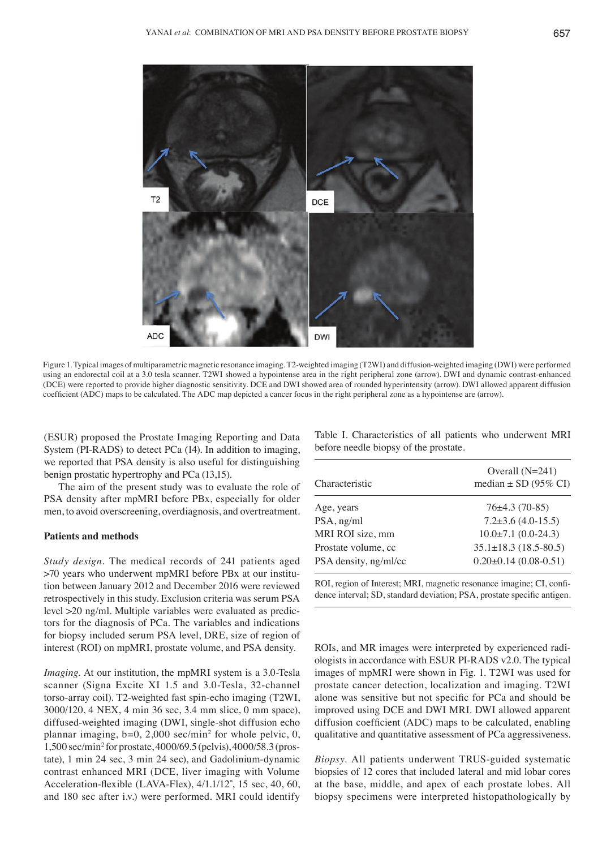

Figure 1. Typical images of multiparametric magnetic resonance imaging. T2-weighted imaging (T2WI) and diffusion-weighted imaging (DWI) were performed using an endorectal coil at a 3.0 tesla scanner. T2WI showed a hypointense area in the right peripheral zone (arrow). DWI and dynamic contrast-enhanced (DCE) were reported to provide higher diagnostic sensitivity. DCE and DWI showed area of rounded hyperintensity (arrow). DWI allowed apparent diffusion coefficient (ADC) maps to be calculated. The ADC map depicted a cancer focus in the right peripheral zone as a hypointense are (arrow).

(ESUR) proposed the Prostate Imaging Reporting and Data System (PI-RADS) to detect PCa (14). In addition to imaging, we reported that PSA density is also useful for distinguishing benign prostatic hypertrophy and PCa (13,15).

The aim of the present study was to evaluate the role of PSA density after mpMRI before PBx, especially for older men, to avoid overscreening, overdiagnosis, and overtreatment.

### **Patients and methods**

*Study design.* The medical records of 241 patients aged >70 years who underwent mpMRI before PBx at our institution between January 2012 and December 2016 were reviewed retrospectively in this study. Exclusion criteria was serum PSA level >20 ng/ml. Multiple variables were evaluated as predictors for the diagnosis of PCa. The variables and indications for biopsy included serum PSA level, DRE, size of region of interest (ROI) on mpMRI, prostate volume, and PSA density.

*Imaging.* At our institution, the mpMRI system is a 3.0-Tesla scanner (Signa Excite XI 1.5 and 3.0-Tesla, 32-channel torso-array coil). T2-weighted fast spin-echo imaging (T2WI, 3000/120, 4 NEX, 4 min 36 sec, 3.4 mm slice, 0 mm space), diffused-weighted imaging (DWI, single-shot diffusion echo plannar imaging, b=0, 2,000 sec/min<sup>2</sup> for whole pelvic, 0, 1,500 sec/min2 for prostate, 4000/69.5 (pelvis), 4000/58.3 (prostate), 1 min 24 sec, 3 min 24 sec), and Gadolinium-dynamic contrast enhanced MRI (DCE, liver imaging with Volume Acceleration‑flexible (LAVA‑Flex), 4/1.1/12˚, 15 sec, 40, 60, and 180 sec after i.v.) were performed. MRI could identify

Table I. Characteristics of all patients who underwent MRI before needle biopsy of the prostate.

| Characteristic        | Overall $(N=241)$<br>median $\pm$ SD (95% CI) |
|-----------------------|-----------------------------------------------|
| Age, years            | $76\pm4.3(70-85)$                             |
| PSA, ng/ml            | $7.2 \pm 3.6$ (4.0-15.5)                      |
| MRI ROI size, mm      | $10.0\pm7.1(0.0-24.3)$                        |
| Prostate volume, cc   | $35.1 \pm 18.3$ (18.5-80.5)                   |
| PSA density, ng/ml/cc | $0.20 \pm 0.14$ (0.08-0.51)                   |

ROI, region of Interest; MRI, magnetic resonance imagine; CI, confidence interval; SD, standard deviation; PSA, prostate specific antigen.

ROIs, and MR images were interpreted by experienced radiologists in accordance with ESUR PI-RADS v2.0. The typical images of mpMRI were shown in Fig. 1. T2WI was used for prostate cancer detection, localization and imaging. T2WI alone was sensitive but not specific for PCa and should be improved using DCE and DWI MRI. DWI allowed apparent diffusion coefficient (ADC) maps to be calculated, enabling qualitative and quantitative assessment of PCa aggressiveness.

*Biopsy.* All patients underwent TRUS-guided systematic biopsies of 12 cores that included lateral and mid lobar cores at the base, middle, and apex of each prostate lobes. All biopsy specimens were interpreted histopathologically by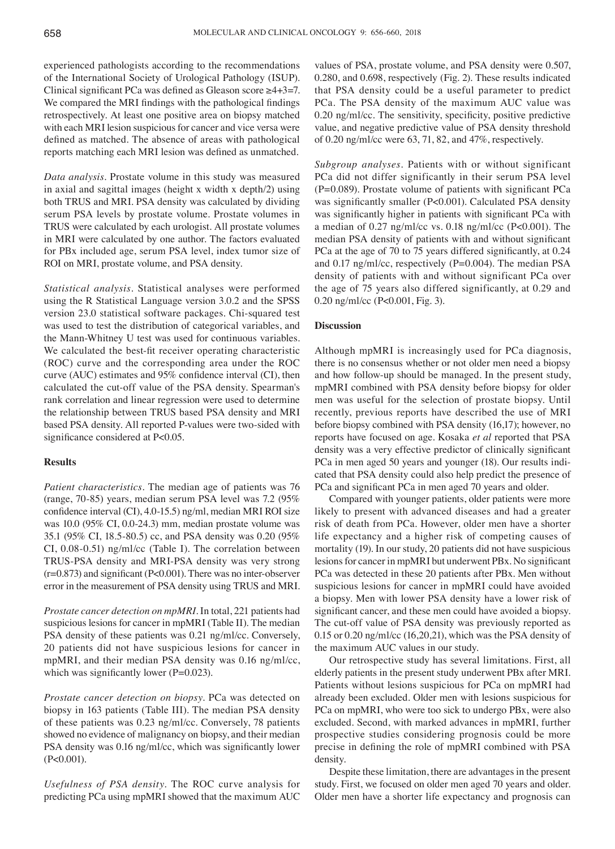experienced pathologists according to the recommendations of the International Society of Urological Pathology (ISUP). Clinical significant PCa was defined as Gleason score ≥4+3=7. We compared the MRI findings with the pathological findings retrospectively. At least one positive area on biopsy matched with each MRI lesion suspicious for cancer and vice versa were defined as matched. The absence of areas with pathological reports matching each MRI lesion was defined as unmatched.

*Data analysis.* Prostate volume in this study was measured in axial and sagittal images (height x width x depth/2) using both TRUS and MRI. PSA density was calculated by dividing serum PSA levels by prostate volume. Prostate volumes in TRUS were calculated by each urologist. All prostate volumes in MRI were calculated by one author. The factors evaluated for PBx included age, serum PSA level, index tumor size of ROI on MRI, prostate volume, and PSA density.

*Statistical analysis.* Statistical analyses were performed using the R Statistical Language version 3.0.2 and the SPSS version 23.0 statistical software packages. Chi-squared test was used to test the distribution of categorical variables, and the Mann-Whitney U test was used for continuous variables. We calculated the best-fit receiver operating characteristic (ROC) curve and the corresponding area under the ROC curve (AUC) estimates and 95% confidence interval (CI), then calculated the cut-off value of the PSA density. Spearman's rank correlation and linear regression were used to determine the relationship between TRUS based PSA density and MRI based PSA density. All reported P-values were two-sided with significance considered at P<0.05.

## **Results**

*Patient characteristics.* The median age of patients was 76 (range, 70-85) years, median serum PSA level was 7.2 (95% confidence interval (CI), 4.0‑15.5) ng/ml, median MRI ROI size was 10.0 (95% CI, 0.0-24.3) mm, median prostate volume was 35.1 (95% CI, 18.5-80.5) cc, and PSA density was 0.20 (95% CI, 0.08-0.51) ng/ml/cc (Table I). The correlation between TRUS-PSA density and MRI-PSA density was very strong  $(r=0.873)$  and significant (P<0.001). There was no inter-observer error in the measurement of PSA density using TRUS and MRI.

*Prostate cancer detection on mpMRI.* In total, 221 patients had suspicious lesions for cancer in mpMRI (Table II). The median PSA density of these patients was 0.21 ng/ml/cc. Conversely, 20 patients did not have suspicious lesions for cancer in mpMRI, and their median PSA density was 0.16 ng/ml/cc, which was significantly lower ( $P=0.023$ ).

*Prostate cancer detection on biopsy.* PCa was detected on biopsy in 163 patients (Table III). The median PSA density of these patients was 0.23 ng/ml/cc. Conversely, 78 patients showed no evidence of malignancy on biopsy, and their median PSA density was 0.16 ng/ml/cc, which was significantly lower (P<0.001).

*Usefulness of PSA density.* The ROC curve analysis for predicting PCa using mpMRI showed that the maximum AUC

values of PSA, prostate volume, and PSA density were 0.507, 0.280, and 0.698, respectively (Fig. 2). These results indicated that PSA density could be a useful parameter to predict PCa. The PSA density of the maximum AUC value was 0.20 ng/ml/cc. The sensitivity, specificity, positive predictive value, and negative predictive value of PSA density threshold of 0.20 ng/ml/cc were 63, 71, 82, and 47%, respectively.

*Subgroup analyses.* Patients with or without significant PCa did not differ significantly in their serum PSA level (P=0.089). Prostate volume of patients with significant PCa was significantly smaller (P<0.001). Calculated PSA density was significantly higher in patients with significant PCa with a median of 0.27 ng/ml/cc vs. 0.18 ng/ml/cc (P<0.001). The median PSA density of patients with and without significant PCa at the age of 70 to 75 years differed significantly, at 0.24 and 0.17 ng/ml/cc, respectively (P=0.004). The median PSA density of patients with and without significant PCa over the age of 75 years also differed significantly, at 0.29 and 0.20 ng/ml/cc (P<0.001, Fig. 3).

# **Discussion**

Although mpMRI is increasingly used for PCa diagnosis, there is no consensus whether or not older men need a biopsy and how follow-up should be managed. In the present study, mpMRI combined with PSA density before biopsy for older men was useful for the selection of prostate biopsy. Until recently, previous reports have described the use of MRI before biopsy combined with PSA density (16,17); however, no reports have focused on age. Kosaka *et al* reported that PSA density was a very effective predictor of clinically significant PCa in men aged 50 years and younger (18). Our results indicated that PSA density could also help predict the presence of PCa and significant PCa in men aged 70 years and older.

Compared with younger patients, older patients were more likely to present with advanced diseases and had a greater risk of death from PCa. However, older men have a shorter life expectancy and a higher risk of competing causes of mortality (19). In our study, 20 patients did not have suspicious lesions for cancer in mpMRI but underwent PBx. No significant PCa was detected in these 20 patients after PBx. Men without suspicious lesions for cancer in mpMRI could have avoided a biopsy. Men with lower PSA density have a lower risk of significant cancer, and these men could have avoided a biopsy. The cut-off value of PSA density was previously reported as 0.15 or 0.20 ng/ml/cc (16,20,21), which was the PSA density of the maximum AUC values in our study.

Our retrospective study has several limitations. First, all elderly patients in the present study underwent PBx after MRI. Patients without lesions suspicious for PCa on mpMRI had already been excluded. Older men with lesions suspicious for PCa on mpMRI, who were too sick to undergo PBx, were also excluded. Second, with marked advances in mpMRI, further prospective studies considering prognosis could be more precise in defining the role of mpMRI combined with PSA density.

Despite these limitation, there are advantages in the present study. First, we focused on older men aged 70 years and older. Older men have a shorter life expectancy and prognosis can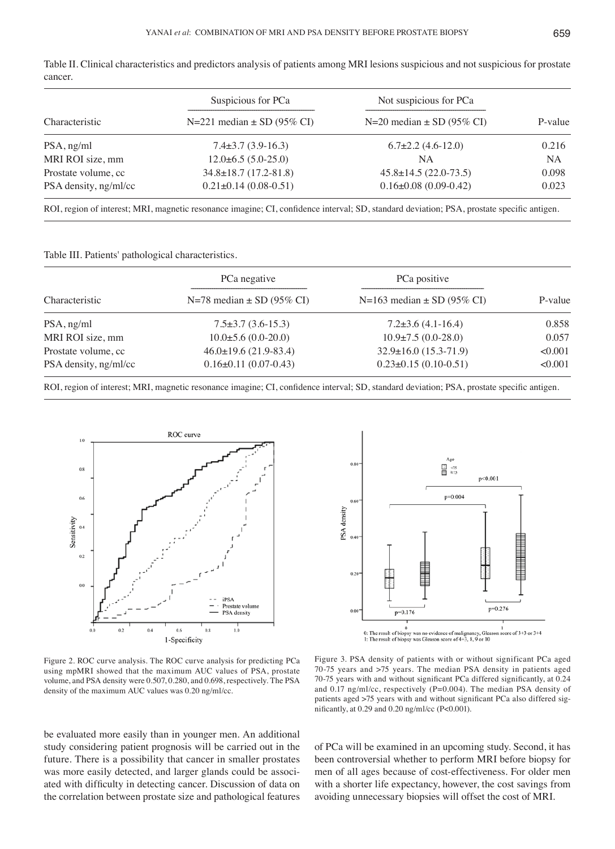|                       | Suspicious for PCa               | Not suspicious for PCa        |         |
|-----------------------|----------------------------------|-------------------------------|---------|
| Characteristic        | $N=221$ median $\pm$ SD (95% CI) | N=20 median $\pm$ SD (95% CI) | P-value |
| $PSA$ , ng/ml         | $7.4\pm3.7(3.9-16.3)$            | $6.7\pm2.2$ (4.6-12.0)        | 0.216   |
| MRI ROI size, mm      | $12.0\pm 6.5(5.0-25.0)$          | NA.                           | NA      |
| Prostate volume, cc   | $34.8 \pm 18.7$ (17.2-81.8)      | $45.8 \pm 14.5$ (22.0-73.5)   | 0.098   |
| PSA density, ng/ml/cc | $0.21 \pm 0.14$ (0.08-0.51)      | $0.16\pm0.08$ (0.09-0.42)     | 0.023   |
|                       |                                  |                               |         |

Table II. Clinical characteristics and predictors analysis of patients among MRI lesions suspicious and not suspicious for prostate cancer.

ROI, region of interest; MRI, magnetic resonance imagine; CI, confidence interval; SD, standard deviation; PSA, prostate specific antigen.

Table III. Patients' pathological characteristics.

| Characteristic        | PCa negative<br>N=78 median $\pm$ SD (95% CI) | PCa positive<br>$N=163$ median $\pm$ SD (95% CI) | P-value |
|-----------------------|-----------------------------------------------|--------------------------------------------------|---------|
|                       |                                               |                                                  |         |
| MRI ROI size, mm      | $10.0\pm5.6(0.0-20.0)$                        | $10.9\pm7.5(0.0-28.0)$                           | 0.057   |
| Prostate volume, cc   | $46.0\pm19.6$ (21.9-83.4)                     | $32.9 \pm 16.0$ (15.3-71.9)                      | < 0.001 |
| PSA density, ng/ml/cc | $0.16\pm0.11(0.07-0.43)$                      | $0.23 \pm 0.15$ (0.10-0.51)                      | < 0.001 |

ROI, region of interest; MRI, magnetic resonance imagine; CI, confidence interval; SD, standard deviation; PSA, prostate specific antigen.





Figure 2. ROC curve analysis. The ROC curve analysis for predicting PCa using mpMRI showed that the maximum AUC values of PSA, prostate volume, and PSA density were 0.507, 0.280, and 0.698, respectively. The PSA density of the maximum AUC values was 0.20 ng/ml/cc.

Figure 3. PSA density of patients with or without significant PCa aged 70-75 years and >75 years. The median PSA density in patients aged 70‑75 years with and without significant PCa differed significantly, at 0.24 and 0.17 ng/ml/cc, respectively (P=0.004). The median PSA density of patients aged >75 years with and without significant PCa also differed significantly, at 0.29 and 0.20 ng/ml/cc (P<0.001).

be evaluated more easily than in younger men. An additional study considering patient prognosis will be carried out in the future. There is a possibility that cancer in smaller prostates was more easily detected, and larger glands could be associated with difficulty in detecting cancer. Discussion of data on the correlation between prostate size and pathological features

of PCa will be examined in an upcoming study. Second, it has been controversial whether to perform MRI before biopsy for men of all ages because of cost-effectiveness. For older men with a shorter life expectancy, however, the cost savings from avoiding unnecessary biopsies will offset the cost of MRI.